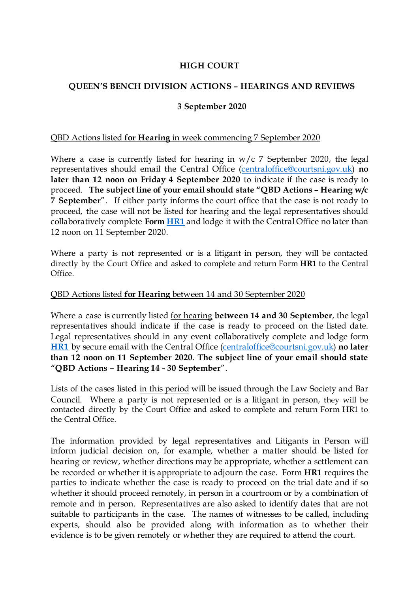# **HIGH COURT**

# **QUEEN'S BENCH DIVISION ACTIONS – HEARINGS AND REVIEWS**

## **3 September 2020**

### QBD Actions listed **for Hearing** in week commencing 7 September 2020

Where a case is currently listed for hearing in  $w/c$  7 September 2020, the legal representatives should email the Central Office [\(centraloffice@courtsni.gov.uk\)](mailto:centraloffice@courtsni.gov.uk) **no later than 12 noon on Friday 4 September 2020** to indicate if the case is ready to proceed. **The subject line of your email should state "QBD Actions – Hearing w/c 7 September**". If either party informs the court office that the case is not ready to proceed, the case will not be listed for hearing and the legal representatives should collaboratively complete **Form [HR1](https://judiciaryni.uk/sites/judiciary/files/media-files/Form%20HR1%20-%20Request%20for%20Hearing%20or%20Approval%20-%20030920%20-%20FINAL.doc)** and lodge it with the Central Office no later than 12 noon on 11 September 2020.

Where a party is not represented or is a litigant in person, they will be contacted directly by the Court Office and asked to complete and return Form **HR1** to the Central Office.

#### QBD Actions listed **for Hearing** between 14 and 30 September 2020

Where a case is currently listed for hearing **between 14 and 30 September**, the legal representatives should indicate if the case is ready to proceed on the listed date. Legal representatives should in any event collaboratively complete and lodge form **[HR1](https://judiciaryni.uk/sites/judiciary/files/media-files/Form%20HR1%20-%20Request%20for%20Hearing%20or%20Approval%20-%20030920%20-%20FINAL.doc)** by secure email with the Central Office [\(centraloffice@courtsni.gov.uk\)](mailto:centraloffice@courtsni.gov.uk) **no later than 12 noon on 11 September 2020**. **The subject line of your email should state "QBD Actions – Hearing 14 - 30 September**".

Lists of the cases listed in this period will be issued through the Law Society and Bar Council. Where a party is not represented or is a litigant in person, they will be contacted directly by the Court Office and asked to complete and return Form HR1 to the Central Office.

The information provided by legal representatives and Litigants in Person will inform judicial decision on, for example, whether a matter should be listed for hearing or review, whether directions may be appropriate, whether a settlement can be recorded or whether it is appropriate to adjourn the case. Form **HR1** requires the parties to indicate whether the case is ready to proceed on the trial date and if so whether it should proceed remotely, in person in a courtroom or by a combination of remote and in person. Representatives are also asked to identify dates that are not suitable to participants in the case. The names of witnesses to be called, including experts, should also be provided along with information as to whether their evidence is to be given remotely or whether they are required to attend the court.